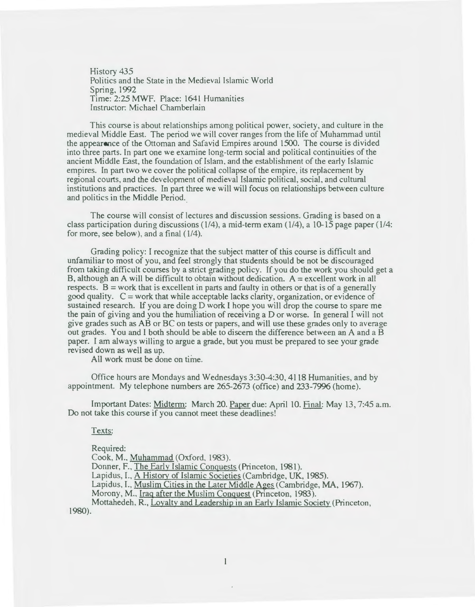History 435 Politics and the State in the Medieval Islamic World Spring, 1992 Time: 2:25 MWF. Place: 1641 Humanities Instructor: Michael Chamberlain

This course is about relationships among political power, society, and culture in the medieval Middle East. The period we will cover ranges from the life of Muhammad until the appearance of the Ottoman and Safavid Empires around 1500. The course is divided into three parts. In part one we examine long-term social and political continuities of the ancient Middle East, the foundation of Islam. and the establishment of the early Islamic empires. In part two we cover the political collapse of the empire, its replacement by regional courts, and the development of medieval Islamic political, social. and cultural institutions and practices. In part three we will will focus on relationships between culture and politics in the Middle Period.

The course will consist of lectures and discussion sessions. Grading is based on a class participation during discussions (1/4), a mid-term exam (1/4), a 10-15 page paper (114: for more, see below), and a final ( 1/4).

Grading policy: I recognize that the subject matter of this course is difficult and unfamiliar to most of you, and feel strongly that students should be not be discouraged from taking difficult courses by a strict grading policy. If you do the work you should get a B, although an A will be difficult to obtain without dedication.  $A =$  excellent work in all respects.  $B = work$  that is excellent in parts and faulty in others or that is of a generally good quality.  $C =$  work that while acceptable lacks clarity, organization, or evidence of sustained research. lf you are doing D work I hope you will drop the course to spare me the pain of giving and you the humiliation of receiving aD or worse. In general I will not give grades such as AB or BC on tests or papers, and will use these grades only to average out grades. You and I both should be able to discern the difference between an A and a B paper. I am always willing to argue a grade, but you must be prepared to see your grade revised down as well as up.

All work must be done on time.

Office hours are Mondays and Wednesdays 3:30-4:30,4118 Humanities, and by appointment. My telephone numbers are 265-2673 (office) and 233-7996 (home).

Important Dates: Midterm: March 20. Paper due: April 10. Final: May 13,7:45 a.m. Do not take this course if you cannot meet these deadlines!

Texts:

Required:

Cook, M., Muhammad (Oxford, 1983).

Donner, F., The Early Islamic Conguests (Princeton, 1981).

Lapidus, I., A History of Islamic Societies (Cambridge, UK, 1985).

Lapidus, I., Muslim Cities in the Later Middle Ages (Cambridge, MA, 1967).

Morony, M., Iraq after the Muslim Conquest (Princeton, 1983).

Mottahedeh. R., Loyalty and Leadership in an Early Islamic Society (Princeton, 1980).

 $\mathbf{1}$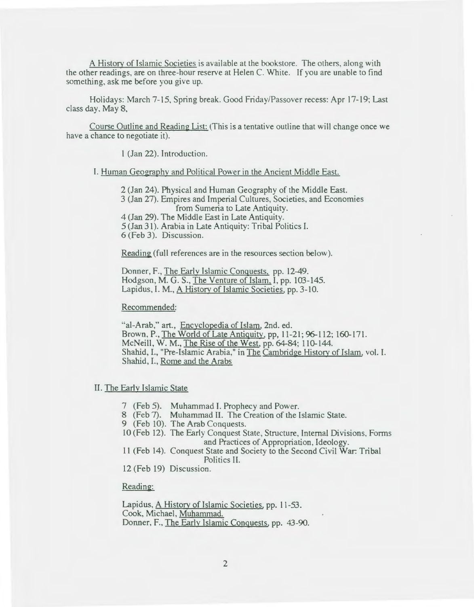A History of Islamic Societies is available at the bookstore. The others, along with the other readings, are on three-hour reserve at Helen C. White. If you are unable to find something, ask me before you give up.

Holidays: March 7-15, Spring break. Good Friday/Passover recess: Apr 17-19; Last class day. May 8,

Course Outline and Reading List: (This is a tentative outline that will change once we have a chance to negotiate it).

1 (Jan 22). Introduction.

#### I. Human Geography and Political Power in the Ancient Middle East.

2 (Jan 24). Physical and Human Geography of the Middle East.

3 (Jan 27). Empires and Imperial Cultures, Societies, and Economies from Sumeria to Late Antiquity.

4 (Jan 29). The Middle East in Late Antiquity.

5 (Jan 31). Arabia in Late Antiquity: Tribal Politics I.

6 (Feb 3). Discussion.

Reading (full references are in the resources section below).

Donner, F., The Earlv Islamic Conquests. pp. 12-49. Hodgson, M.G. S., The Venture of Islam. I, pp. 103-145. Lapidus, I. M., A Historv of Islamic Societies, pp. 3-10.

Recommended:

"al-Arab," art., Encyclopedia of Islam, 2nd. ed. Brown, P., The World of Late Antiquity, pp, 11-21; 96-112; 160-171. McNeill, W. M., The Rise of the West, pp. 64-84; 110-144. Shahid, I., "Pre-Islamic Arabia," in The Cambridge Historv of Islam, vol. I. Shahid, I., Rome and the Arabs

# II. The Early Islamic State

- 7 (Feb 5). Muhammad I. Prophecy and Power.
- 8 (Feb 7). Muhammad II. The Creation of the Islamic State.
- 9 (Feb 10). The Arab Conquests.
- 10 (Feb 12). The Early Conquest State, Structure, Internal Divisions, Forms and Practices of Appropriation, Ideology.
- 11 (Feb 14). Conquest State and Society to the Second Civil War: Tribal Politics II.
- 12 (Feb 19) Discussion.

Reading:

Lapidus, A History of Islamic Societies, pp. 11-53. Cook, Michael, Muhammad. Donner, F., The Early Islamic Conquests, pp. 43-90.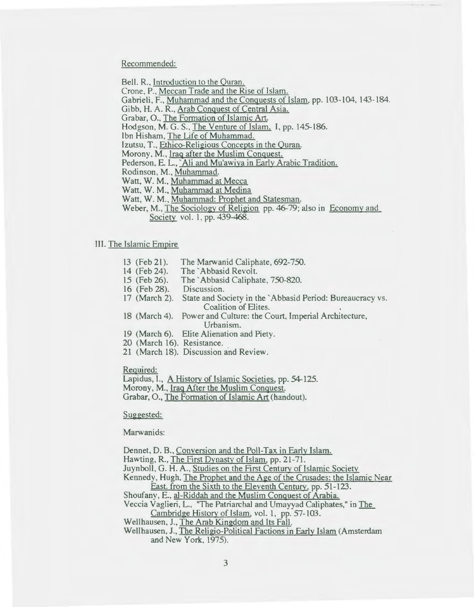Recommended:

Bell. R., Introduction to the Quran.

Crone, P., Meccan Trade and the Rise of Islam.

Gabrieli, F. , Muhammad and the Conquests of Islam, pp. 103-104, 143-184.

Gibb, H. A. R., Arab Conquest of Central Asia.

Grabar, O., The Formation of Islamic Art.

Hodgson, M. G. S., The Venture of Islam, I, pp. 145-186.

Ibn Hisham, The Life of Muhammad.

Izutsu, T., Ethico-Religious Concepts in the Ouran.

Morony, M., Iraq after the Muslim Conquest.

Pederson, E. L., `Ali and Mu'awiya in Early Arabic Tradition.

Rodinson, M., Muhammad.

Watt, W. M., Muhammad at Mecca

Watt, W. M., Muhammad at Medina

Watt, W. M., Muhammad: Prophet and Statesman.

Weber, M., The Sociology of Religion pp. 46-79; also in Economy and Society vol. 1, pp. 439-468.

## III. The Islamic Empire

- $13$  (Feb 21). The Marwanid Caliphate, 692-750.
- 14 (Feb 24). The 'Abbasid Revolt.

15 (Feb 26). The' Abbasid Caliphate, 750-820.

- 16 (Feb 28). Discussion.
- 17 (March 2). State and Society in the ' Abbasid Period: Bureaucracy vs. Coalition of Elites.
- 18 (March 4). Power and Culture: the Court, Imperial Architecture, Urbanism.
- 19 (March 6). Elite Alienation and Piety.
- 20 (March 16). Resistance.
- 21 (March 18). Discussion and Review.

Required:

Lapidus, I., A History of Islamic Societies, pp. 54-125.

Morony, M., Iraq After the Muslim Conquest.

Grabar, 0., The Formation of Islamic Art (handout).

Suggested:

Marwanids:

Dennet, D. B., Conversion and the Poll-Tax in Early Islam.

Hawting, R., The First Dvnasty of Islam, pp. 21-71.

Juynboll, G. H. A., Studies on the First Century of Islamic Society

Kennedy, Hugh, The Prophet and the Age of the Crusades: the Islamic Near East. from the Sixth to the Eleventh Century, pp. 51-123.

Shoufany, E., al-Riddah and the Muslim Conquest of Arabia.

Veccia Vaglieri, L., "The Patriarchal and Umayyad Caliphates," in The Cambridge History of Islam, vol. 1, pp. 57- 103.

Wellhausen, J., The Arab Kingdom and Its Fall.

Wellhausen, J., The Religio-Political Factions in Early Islam (Amsterdam and New York, 1975).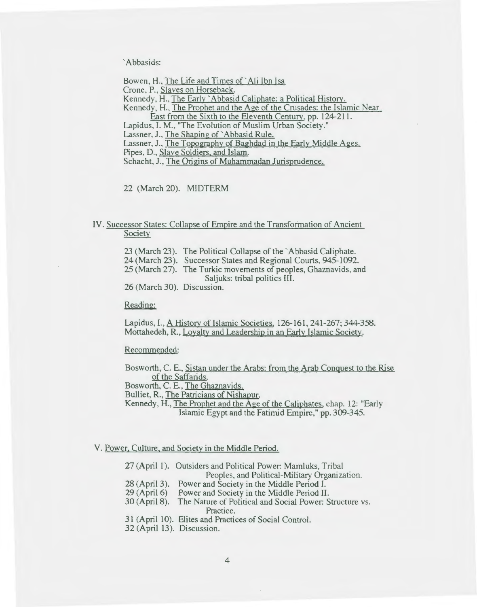'Abbasids:

Bowen, H., The Life and Times of' Ali Ibn Isa Crone, P., Slaves on Horseback. Kennedy, H., The Early' Abbasid Caliphate: a Political History. Kennedy, H., The Prophet and the Age of the Crusades: the Islamic Near East from the Sixth to the Eleventh Century, pp. 124-211. Lapidus, I. M., "The Evolution of Muslim Urban Society." Lassner, J., The Shaping of `Abbasid Rule. Lassner, J., The Topography of Baghdad in the Early Middle Ages. Pipes, D., Slave Soldiers, and Islam. Schacht, J., The Origins of Muhammadan Jurisprudence.

22 (March 20). MIDTERM

# IV. Successor States: Collapse of Empire and the Transformation of Ancient Society

23 (March 23). The Political Collapse of the 'Abbasid Caliphate. 24 (March 23 ). Successor States and Regional Courts, 945-1092.

25 (March 27). The Turkic movements of peoples, Ghaznavids, and Saljuks: tribal politics III.

26 (March 30). Discussion.

Reading:

Lapidus, I., A History of Islamic Societies. 126-161, 241-267; 344-358. Mottahedeh, R., Lovaltv and Leadership in an Early Islamic Society.

Recommended:

Bosworth, C. E., Sistan under the Arabs: from the Arab Conquest to the Rise of the Saffarids.

Bosworth, C. E., The Ghaznavids.

Bulliet, R., The Patricians of Nishapur.

Kennedy, H., The Prophet and the Age of the Caliphates, chap. 12: "Early Islamic Egypt and the Fatimid Empire," pp. 309-345.

#### V. Power, Culture, and Society in the Middle Period.

27 (April 1). Outsiders and Political Power: Mamluks, Tribal

Peoples, and Political-Military Organization.

28 (April 3). Power and Society in the Middle Period I.

29 (April6) Power and Society in the Middle Period II.

30 (April 8). The Nature of Political and Social Power: Structure vs. Practice.

31 (April 10). Elites and Practices of Social Control.

32 (April 13). Discussion.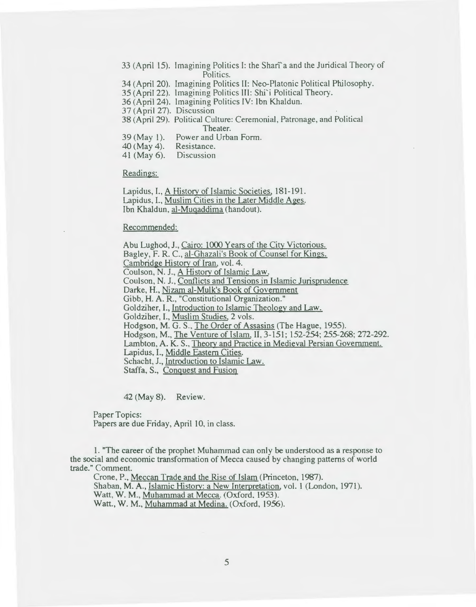33 (April 15). Imagining Politics 1: the Shari' a and the Juridical Theory of Politics.

34 (April 20). Imagining Politics II: Neo-Piatonic Political Philosophy.

35 (April22). Imagining Politics III: Shi'i Political Theory.

36 (April 24). Imagining Politics IV: Ibn Khaldun.

37 (April 27). Discussion

38 (April 29). Political Culture: Ceremonial, Patronage, and Political Theater.

39 (May 1). Power and Urban Form.

40 (May 4). Resistance.

41 (May 6). Discussion

Readings:

Lapidus, I., A History of Islamic Societies, 181-191. Lapidus, I., Muslim Cities in the Later Middle Ages. Ibn Khaldun, al-Muqaddima (handout).

Recommended:

Abu Lughod, J., Cairo: 1000 Years of the Citv Victorious. Bagley, F. R. C., al-Ghazali's Book of Counsel for Kings. Cambridge History of Iran, vol. 4. Coulson, N.J., A Historv of Islamic Law. Coulson, N. J., Conflicts and Tensions in Islamic Jurisprudence Darke, H., Nizam al-Mulk's Book of Government Gibb, H. A. R., "Constitutional Organization." Goldziher, I., Introduction to Islamic Theology and Law. Goldziher, I., Muslim Studies, 2 vols. Hodgson, M.G. S., The Order of Assasins (The Hague, 1955). Hodgson, M., The Venture of Islam, II, 3-151; 152-254; 255-268; 272-292. Lambton, A. K. S., Theory and Practice in Medieval Persian Government. Lapidus, I., Middle Eastern Cities. Schacht, J., Introduction to Islamic Law. Staffa, S., Conquest and Fusion

42 (May 8). Review.

Paper Topics:

Papers are due Friday, April 10, in class.

1. "The career of the prophet Muhammad can only be understood as a response to the social and economic transformation of Mecca caused by changing patterns of world trade." Comment.

Crone, P., Meccan Trade and the Rise of Islam (Princeton, 1987). Shaban, M.A., Islamic History: a New Interpretation, vol. 1 (London, 1971). Watt, W. M., Muhammad at Mecca. (Oxford, 1953). Watt., W. M., Muhammad at Medina. (Oxford, 1956).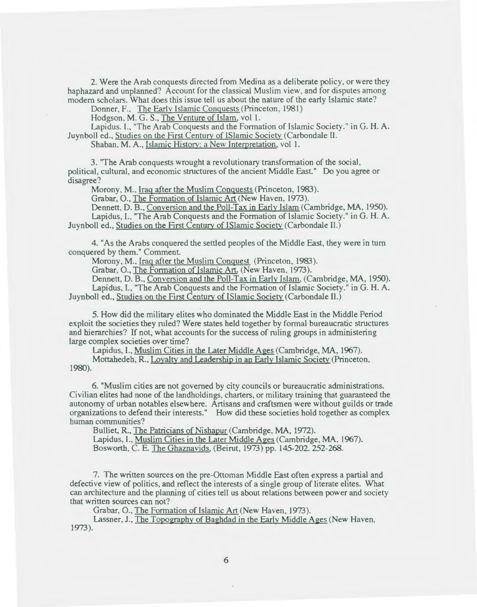2. Were the Arab conquests directed from Medina as a deliberate policy, or were they haphazard and unplanned? Account for the classical Muslim view. and for disputes among modem scholars. What does this issue tell us about the nature of the early Islamic state?

Donner, F., The Early Islamic Conquests (Princeton, 1981)

Hodgson, M. G. S., The Venture of Islam, vol 1.

Lapidus. 1., "The Arab Conquests and the Formation of Islamic Society." in G. H. A. Juynboll ed., Studies on the First Century of ISlamic Society (Carbondale II.

Shaban. M. A., Islamic History: a New Interpretation, vol 1.

3. "The Arab conquests wrought a revolutionary transformation of the social, political, cultural, and economic structures of the ancient Middle East." Do you agree or disagree?

Morony, M., Iraq after the Muslim Conquests (Princeton, 1983).

Grabar, 0., The Formation of Islamic Art (New Haven, 1973).

Dennett, D. B., Conversion and the Poll-Tax in Early Islam (Cambridge, MA, 1950). Lapidus, I., "The Arab Conquests and the Formation of Islamic Society." in G. H. A. Juynboll ed., Studies on the First Century of ISlamic Society (Carbondale II.)

4. "As the Arabs conquered the settled peoples of the Middle East, they were in tum conquered by them. " Comment.

Morony, M., Iraq after the Muslim Conquest (Princeton, 1983).

Grabar, O., The Formation of Islamic Art. (New Haven, 1973).

Dennett, D. B., Conversion and the Poll-Tax in Early Islam. (Cambridge, MA, 1950). Lapidus, I., "The Arab Conquests and the Formation of Islamic Society." in G. H. A. Juynboll ed., Studies on the First Century of ISlamic Society (Carbondale II.)

5. How did the military elites who dominated the Middle East in the Middle Period exploit the societies they ruled? Were states held together by formal bureaucratic structures and hierarchies? If not, what accounts for the success of ruling groups in administering large complex societies over time?

Lapidus, L, Muslim Cities in the Later Middle Ages (Cambridge, MA, 1967).

Mottahedeh, R., Loyalty and Leadership in an Early Islamic Society (Princeton, 1980).

6. "Muslim cities are not governed by city councils or bureaucratic administrations. Civilian elites had none of the landholdings, charters, or military training that guaranteed the autonomy of urban notables elsewhere. Artisans and craftsmen were without guilds or trade organizations to defend their interests." How did these societies hold together as complex human communities?

Bulliet, R., The Patricians of Nishapur (Cambridge, MA, 1972).

Lapidus, I., Muslim Cities in the Later Middle Ages (Cambridge, MA, 1967).

Bosworth, C. E. The Ghaznavids, (Beirut, 1973) pp. 145-202. 252-268.

7. The written sources on the pre-Ottoman Middle East often express a partial and defective view of politics, and reflect the interests of a single group of literate elites. What can architecture and the planning of cities tell us about relations between power and society that written sources can not?

Grabar, O., The Formation of Islamic Art (New Haven, 1973).

Lassner, J., The Topography of Baghdad in the Early Middle Ages (New Haven, 1973).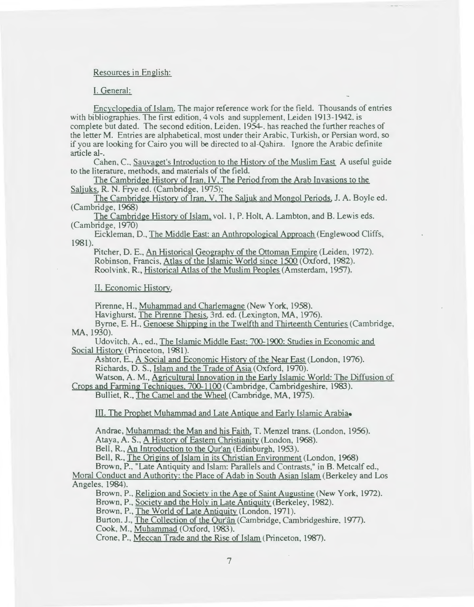## Resources in English:

# I. General:

Encyclopedia of Islam. The major reference work for the field. Thousands of entries with bibliographies. The first edition, 4 vols and supplement, Leiden 1913-1942. is complete but dated. The second edition, Leiden. 1954-. has reached the further reaches of the letter M. Entries are alphabetical. most under their Arabic. Turkish, or Persian word. so if you are looking for Cairo you will be directed to a1-Qahira. Ignore the Arabic definite article al-.

Cahen, C., Sauvaget's Introduction to the Historv of the Muslim East A useful guide to the literature, methods, and materials of the field.

The Cambridge History of Iran. IV. The Period from the Arab Invasions to the Saljuks, R.N. Frye ed. (Cambridge, 1975);

The Cambridge History of Iran. Y. The Saljuk and Mongol Periods. J. A. Boyle ed. (Cambridge, 1968)

The Cambridge History of Islam, vol. 1, P. Holt, A. Lambton, and B. Lewis eds. (Cambridge, 1970)

1981). Eickleman, D., The Middle East: an Anthropological Approach (Englewood Cliffs,

Pitcher, D. E., An Historical Geography of the Ottoman Empire (Leiden, 1972). Robinson, Francis, Atlas of the Islamic World since 1500 (Oxford, 1982). Roolvink, R., Historical Atlas of the Muslim Peoples (Amsterdam, 1957).

II. Economic History.

Pirenne, H., Muhammad and Charlemagne (New York, 1958).

Havighurst. The Pirenne Thesis, 3rd. ed. (Lexington, MA, 1976).

Byrne, E. H., Genoese Shipping in the Twelfth and Thirteenth Centuries (Cambridge, MA, 1930).

Udovitch, A., ed., The Islamic Middle East: 700-1900: Studies in Economic and Social History (Princeton, 1981).

Ashtor, E., A Social and Economic Historv of the Near East (London, 1976). Richards, D. S., Islam and the Trade of Asia (Oxford, 1970).

Watson, A. M., Agricultural Innovation in the Early Islamic World: The Diffusion of

Crops and Farming Techniques, 700-1100 (Cambridge, Cambridgeshire, 1983). Bulliet, R., The Camel and the Wheel (Cambridge, MA, 1975).

III. The Prophet Muhammad and Late Antique and Early Islamic Arabia.

Andrae, Muhammad: the Man and his Faith, T. Menzel trans. (London, 1956). Ataya, A. S., A History of Eastern Christianity (London, 1968).

Bell, R., An Introduction to the Qur'an (Edinburgh, 1953).

Bell, R., The Origins of Islam in its Christian Environment (London, 1968) Brown, P., "Late Antiquity and Islam: Parallels and Contrasts," in B. Metcalf ed.,

Moral Conduct and Authority: the Place of Adab in South Asian Islam (Berkeley and Los Angeles, 1984).

Brown, P., Religion and Society in the Age of Saint Augustine (New York, 1972).

Brown, P., Society and the Holy in Late Antiquity (Berkeley, 1982).

Brown, P., The World of Late Antiquity (London, 1971).

Burton. J., The Collection of the Our'ân (Cambridge, Cambridgeshire, 1977).

Cook, M., Muhammad (Oxford, 1983).

Crone, P., Meccan Trade and the Rise of Islam (Princeton, 1987).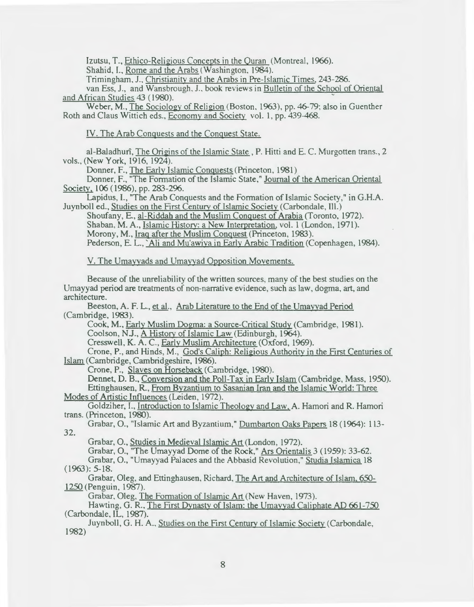Izutsu, T., Ethico-Religious Concepts in the Ouran (Montreal, 1966).

Shahid, I., Rome and the Arabs (Washington, 1984).

Trimingham, J., Christianity and the Arabs in Pre-Islamic Times, 243-286.

van Ess, J., and Wansbrough, J. , book reviews in Bulletin of the School of Oriental and African Studies 43 (1980).

Weber, M., The Sociology of Religion (Boston, 1963), pp. 46-79; also in Guenther Roth and Claus Wittich eds., Economy and Society vol. 1, pp. 439-468.

IV. The Arab Conquests and the Conquest State.

al-Baladhurî, The Origins of the Islamic State, P. Hitti and E. C. Murgotten trans., 2 vols., (New York, 1916, 1924).

Donner, F., The Early Islamic Conquests (Princeton, 1981)

Donner, F., "The Formation of the Islamic State," Journal of the American Oriental Society, 106 (1986), pp. 283-296.

Lapidus, 1. , "The Arab Conquests and the Formation of Islamic Society," in G.H.A. Juynboll ed., Studies on the First Century of Islamic Society (Carbondale, Ill.)

Shoufany, E., al-Riddah and the Muslim Conquest of Arabia (Toronto, 1972). Shaban, M. A., Islamic History: a New Interpretation, vol. 1 (London, 1971). Morony, M., Iraq after the Muslim Conquest (Princeton, 1983).

Pederson, E. L., 'Ali and Mu'awiya in Early Arabic Tradition (Copenhagen, 1984).

V. The Umayyads and Umayyad Opposition Movements.

Because of the unreliability of the written sources, many of the best studies on the Umayyad period are treatments of non-narrative evidence, such as law, dogma, art, and architecture.

Beeston, A. F. L., et al., Arab Literature to the End of the Umavvad Period (Cambridge, 1983).

Cook, M., Early Muslim Dogma: a Source-Critical Study (Cambridge, 1981). Coolson, N.J., A History of Islamic Law (Edinburgh, 1964).

Cresswell, K. A. C., Early Muslim Architecture (Oxford, 1969).

Crone, P., and Hinds, M., God's Caliph: Religious Authority in the First Centuries of Islam (Cambridge, Cambridgeshire, 1986).

Crone, P., Slaves on Horseback (Cambridge, 1980).

Dennet, D. B., Conversion and the Poll-Tax in Early Islam (Cambridge, Mass, 1950). Ettinghausen, R. , From Byzantium to Sasanian Iran and the Islamic World: Three Modes of Artistic Influences (Leiden, 1972).

Goldziher, I., Introduction to Islamic Theology and Law. A. Hamori and R. Hamori trans. (Princeton, 1980).

32. Grabar, 0., "Islamic Art and Byzantium," Dumbarton Oaks Papers 18 ( 1964): 113-

Grabar, 0., Studies in Medieval Islamic Art (London, 1972).

Grabar, O., "The Umayyad Dome of the Rock," Ars Orientalis 3 (1959): 33-62.

Grabar, 0., "Umayyad Palaces and the Abbasid Revolution," Studia Islamica 18 (1963): 5-18.

Grabar, Oleg, and Ettinghausen, Richard, The Art and Architecture of Islam. 6.50- 1250 (Penguin, 1987).

Grabar, Oleg, The Formation of Islamic Art (New Haven, 1973).

Hawting, G. R., The First Dynasty of Islam: the Umayyad Caliphate AD 661-750 (Carbondale, IL, 1987).

Juynboll, G. H. A., Studies on the First Century of Islamic Society (Carbondale, 1982)